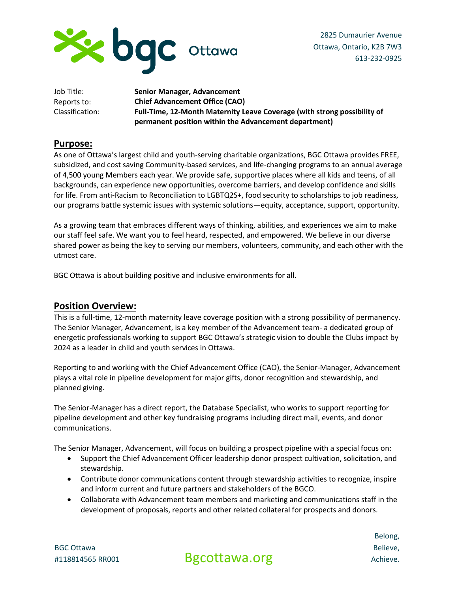

2825 Dumaurier Avenue Ottawa, Ontario, K2B 7W3 613-232-0925

| Job Title:      | Senior Manager, Advancement                                              |
|-----------------|--------------------------------------------------------------------------|
| Reports to:     | <b>Chief Advancement Office (CAO)</b>                                    |
| Classification: | Full-Time, 12-Month Maternity Leave Coverage (with strong possibility of |
|                 | permanent position within the Advancement department)                    |

### **Purpose:**

As one of Ottawa's largest child and youth-serving charitable organizations, BGC Ottawa provides FREE, subsidized, and cost saving Community-based services, and life-changing programs to an annual average of 4,500 young Members each year. We provide safe, supportive places where all kids and teens, of all backgrounds, can experience new opportunities, overcome barriers, and develop confidence and skills for life. From anti-Racism to Reconciliation to LGBTQ2S+, food security to scholarships to job readiness, our programs battle systemic issues with systemic solutions—equity, acceptance, support, opportunity.

As a growing team that embraces different ways of thinking, abilities, and experiences we aim to make our staff feel safe. We want you to feel heard, respected, and empowered. We believe in our diverse shared power as being the key to serving our members, volunteers, community, and each other with the utmost care.

BGC Ottawa is about building positive and inclusive environments for all.

### **Position Overview:**

This is a full-time, 12-month maternity leave coverage position with a strong possibility of permanency. The Senior Manager, Advancement, is a key member of the Advancement team- a dedicated group of energetic professionals working to support BGC Ottawa's strategic vision to double the Clubs impact by 2024 as a leader in child and youth services in Ottawa.

Reporting to and working with the Chief Advancement Office (CAO), the Senior-Manager, Advancement plays a vital role in pipeline development for major gifts, donor recognition and stewardship, and planned giving.

The Senior-Manager has a direct report, the Database Specialist, who works to support reporting for pipeline development and other key fundraising programs including direct mail, events, and donor communications.

The Senior Manager, Advancement, will focus on building a prospect pipeline with a special focus on:

- Support the Chief Advancement Officer leadership donor prospect cultivation, solicitation, and stewardship.
- Contribute donor communications content through stewardship activities to recognize, inspire and inform current and future partners and stakeholders of the BGCO.
- Collaborate with Advancement team members and marketing and communications staff in the development of proposals, reports and other related collateral for prospects and donors.

BGC Ottawa #118814565 RR001

Bgcottawa.org

Belong, Believe, Achieve.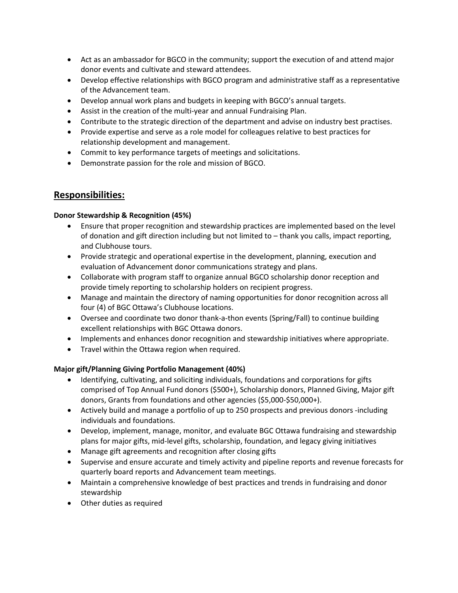- Act as an ambassador for BGCO in the community; support the execution of and attend major donor events and cultivate and steward attendees.
- Develop effective relationships with BGCO program and administrative staff as a representative of the Advancement team.
- Develop annual work plans and budgets in keeping with BGCO's annual targets.
- Assist in the creation of the multi-year and annual Fundraising Plan.
- Contribute to the strategic direction of the department and advise on industry best practises.
- Provide expertise and serve as a role model for colleagues relative to best practices for relationship development and management.
- Commit to key performance targets of meetings and solicitations.
- Demonstrate passion for the role and mission of BGCO.

## **Responsibilities:**

#### **Donor Stewardship & Recognition (45%)**

- Ensure that proper recognition and stewardship practices are implemented based on the level of donation and gift direction including but not limited to – thank you calls, impact reporting, and Clubhouse tours.
- Provide strategic and operational expertise in the development, planning, execution and evaluation of Advancement donor communications strategy and plans.
- Collaborate with program staff to organize annual BGCO scholarship donor reception and provide timely reporting to scholarship holders on recipient progress.
- Manage and maintain the directory of naming opportunities for donor recognition across all four (4) of BGC Ottawa's Clubhouse locations.
- Oversee and coordinate two donor thank-a-thon events (Spring/Fall) to continue building excellent relationships with BGC Ottawa donors.
- Implements and enhances donor recognition and stewardship initiatives where appropriate.
- Travel within the Ottawa region when required.

### **Major gift/Planning Giving Portfolio Management (40%)**

- Identifying, cultivating, and soliciting individuals, foundations and corporations for gifts comprised of Top Annual Fund donors (\$500+), Scholarship donors, Planned Giving, Major gift donors, Grants from foundations and other agencies (\$5,000-\$50,000+).
- Actively build and manage a portfolio of up to 250 prospects and previous donors -including individuals and foundations.
- Develop, implement, manage, monitor, and evaluate BGC Ottawa fundraising and stewardship plans for major gifts, mid-level gifts, scholarship, foundation, and legacy giving initiatives
- Manage gift agreements and recognition after closing gifts
- Supervise and ensure accurate and timely activity and pipeline reports and revenue forecasts for quarterly board reports and Advancement team meetings.
- Maintain a comprehensive knowledge of best practices and trends in fundraising and donor stewardship
- Other duties as required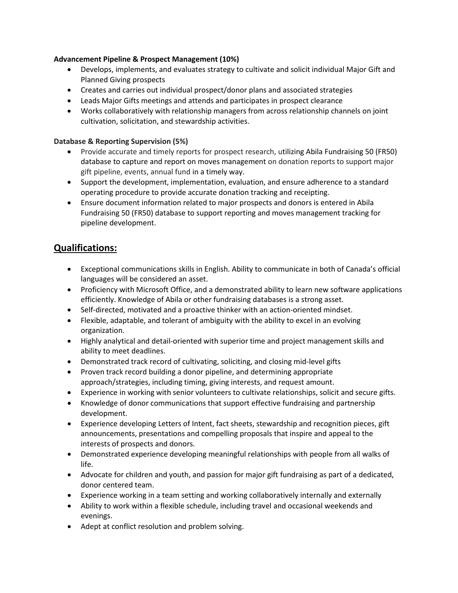#### **Advancement Pipeline & Prospect Management (10%)**

- Develops, implements, and evaluates strategy to cultivate and solicit individual Major Gift and Planned Giving prospects
- Creates and carries out individual prospect/donor plans and associated strategies
- Leads Major Gifts meetings and attends and participates in prospect clearance
- Works collaboratively with relationship managers from across relationship channels on joint cultivation, solicitation, and stewardship activities.

### **Database & Reporting Supervision (5%)**

- Provide accurate and timely reports for prospect research, utilizing Abila Fundraising 50 (FR50) database to capture and report on moves management on donation reports to support major gift pipeline, events, annual fund in a timely way.
- Support the development, implementation, evaluation, and ensure adherence to a standard operating procedure to provide accurate donation tracking and receipting.
- Ensure document information related to major prospects and donors is entered in Abila Fundraising 50 (FR50) database to support reporting and moves management tracking for pipeline development.

# **Qualifications:**

- Exceptional communications skills in English. Ability to communicate in both of Canada's official languages will be considered an asset.
- Proficiency with Microsoft Office, and a demonstrated ability to learn new software applications efficiently. Knowledge of Abila or other fundraising databases is a strong asset.
- Self-directed, motivated and a proactive thinker with an action-oriented mindset.
- Flexible, adaptable, and tolerant of ambiguity with the ability to excel in an evolving organization.
- Highly analytical and detail-oriented with superior time and project management skills and ability to meet deadlines.
- Demonstrated track record of cultivating, soliciting, and closing mid-level gifts
- Proven track record building a donor pipeline, and determining appropriate approach/strategies, including timing, giving interests, and request amount.
- Experience in working with senior volunteers to cultivate relationships, solicit and secure gifts.
- Knowledge of donor communications that support effective fundraising and partnership development.
- Experience developing Letters of Intent, fact sheets, stewardship and recognition pieces, gift announcements, presentations and compelling proposals that inspire and appeal to the interests of prospects and donors.
- Demonstrated experience developing meaningful relationships with people from all walks of life.
- Advocate for children and youth, and passion for major gift fundraising as part of a dedicated, donor centered team.
- Experience working in a team setting and working collaboratively internally and externally
- Ability to work within a flexible schedule, including travel and occasional weekends and evenings.
- Adept at conflict resolution and problem solving.